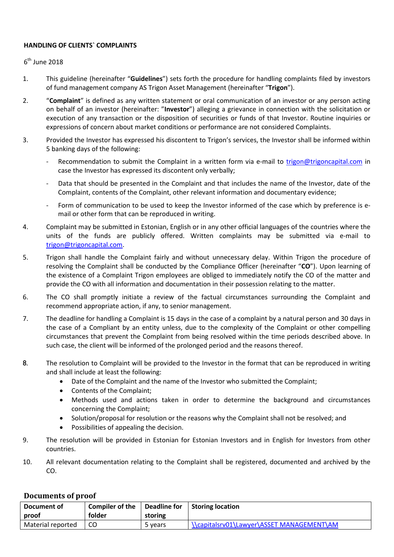## HANDLING OF CLIENTS` COMPLAINTS

## $6^{\text{th}}$  June 2018

- 1. This guideline (hereinafter "Guidelines") sets forth the procedure for handling complaints filed by investors of fund management company AS Trigon Asset Management (hereinafter "Trigon").
- 2. "Complaint" is defined as any written statement or oral communication of an investor or any person acting on behalf of an investor (hereinafter: "Investor") alleging a grievance in connection with the solicitation or execution of any transaction or the disposition of securities or funds of that Investor. Routine inquiries or expressions of concern about market conditions or performance are not considered Complaints.
- 3. Provided the Investor has expressed his discontent to Trigon's services, the Investor shall be informed within 5 banking days of the following:
	- Recommendation to submit the Complaint in a written form via e-mail to trigon@trigoncapital.com in case the Investor has expressed its discontent only verbally;
	- Data that should be presented in the Complaint and that includes the name of the Investor, date of the Complaint, contents of the Complaint, other relevant information and documentary evidence;
	- Form of communication to be used to keep the Investor informed of the case which by preference is email or other form that can be reproduced in writing.
- 4. Complaint may be submitted in Estonian, English or in any other official languages of the countries where the units of the funds are publicly offered. Written complaints may be submitted via e-mail to trigon@trigoncapital.com.
- 5. Trigon shall handle the Complaint fairly and without unnecessary delay. Within Trigon the procedure of resolving the Complaint shall be conducted by the Compliance Officer (hereinafter "CO"). Upon learning of the existence of a Complaint Trigon employees are obliged to immediately notify the CO of the matter and provide the CO with all information and documentation in their possession relating to the matter.
- 6. The CO shall promptly initiate a review of the factual circumstances surrounding the Complaint and recommend appropriate action, if any, to senior management.
- 7. The deadline for handling a Complaint is 15 days in the case of a complaint by a natural person and 30 days in the case of a Compliant by an entity unless, due to the complexity of the Complaint or other compelling circumstances that prevent the Complaint from being resolved within the time periods described above. In such case, the client will be informed of the prolonged period and the reasons thereof.
- 8. The resolution to Complaint will be provided to the Investor in the format that can be reproduced in writing and shall include at least the following:
	- Date of the Complaint and the name of the Investor who submitted the Complaint;
	- Contents of the Complaint:
	- Methods used and actions taken in order to determine the background and circumstances concerning the Complaint;
	- Solution/proposal for resolution or the reasons why the Complaint shall not be resolved; and
	- Possibilities of appealing the decision.
- 9. The resolution will be provided in Estonian for Estonian Investors and in English for Investors from other countries.
- 10. All relevant documentation relating to the Complaint shall be registered, documented and archived by the CO.

## Documents of proof

| Document of       | <b>Compiler of the</b> | <b>Deadline for</b> | Storing location                          |
|-------------------|------------------------|---------------------|-------------------------------------------|
| proof             | folder                 | storing             |                                           |
| Material reported | CC                     | 5 vears             | \\capitalsrv01\Lawyer\ASSET MANAGEMENT\AM |